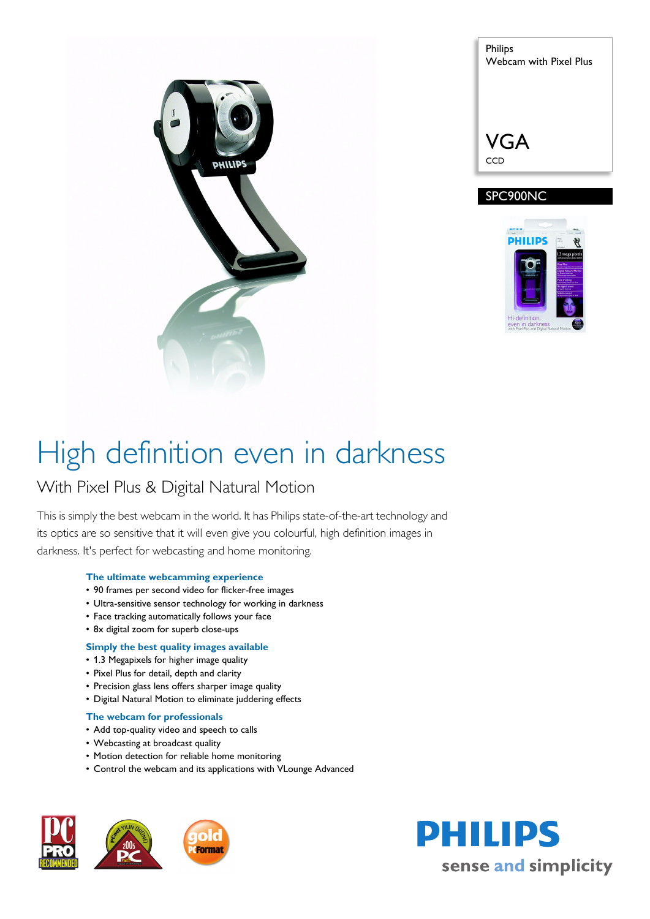

| <b>Philips</b><br>Webcam with Pixel Plus |
|------------------------------------------|
| <b>VGA</b><br>CCD                        |

### SPC900NC



# High definition even in darkness

### With Pixel Plus & Digital Natural Motion

This is simply the best webcam in the world. It has Philips state-of-the-art technology and its optics are so sensitive that it will even give you colourful, high definition images in darkness. It's perfect for webcasting and home monitoring.

#### **The ultimate webcamming experience**

- 90 frames per second video for flicker-free images
- Ultra-sensitive sensor technology for working in darkness
- Face tracking automatically follows your face
- 8x digital zoom for superb close-ups

#### **Simply the best quality images available**

- 1.3 Megapixels for higher image quality
- Pixel Plus for detail, depth and clarity
- Precision glass lens offers sharper image quality
- Digital Natural Motion to eliminate juddering effects

#### **The webcam for professionals**

- Add top-quality video and speech to calls
- Webcasting at broadcast quality
- Motion detection for reliable home monitoring
- Control the webcam and its applications with VLounge Advanced